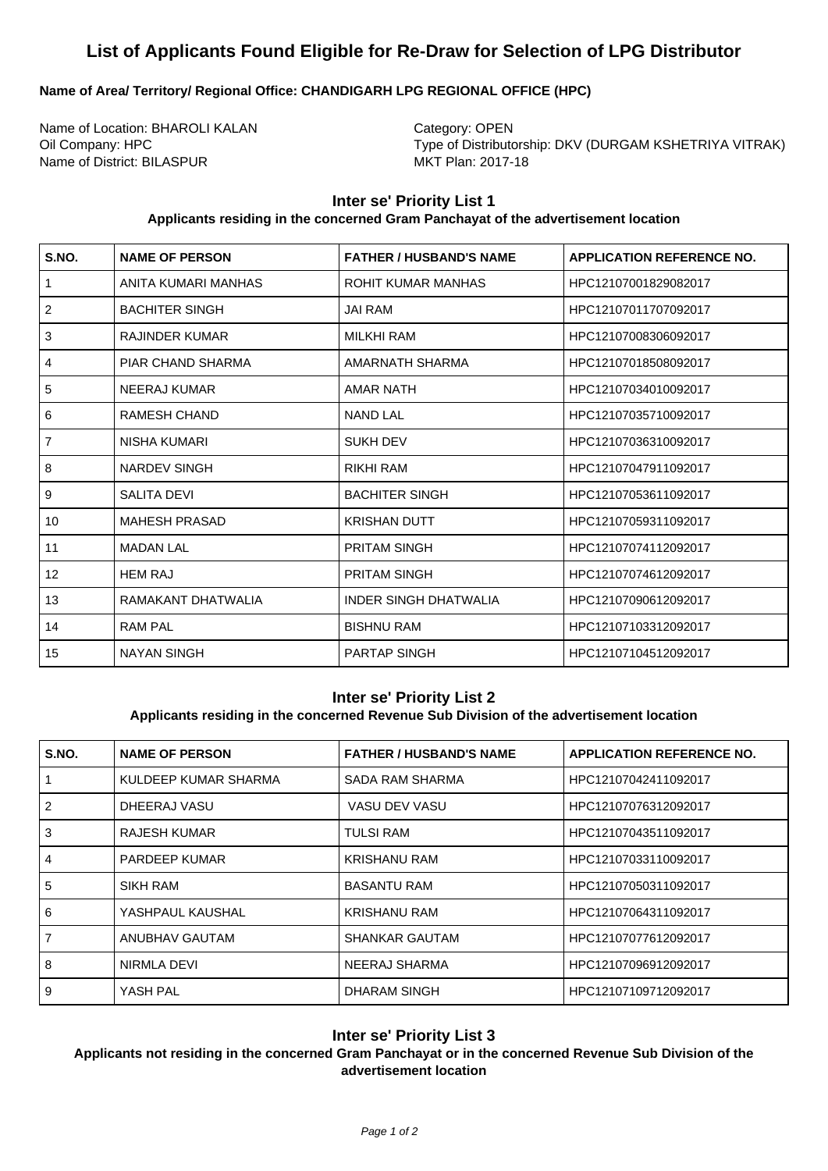# **List of Applicants Found Eligible for Re-Draw for Selection of LPG Distributor**

# **Name of Area/ Territory/ Regional Office: CHANDIGARH LPG REGIONAL OFFICE (HPC)**

Name of Location: BHAROLI KALAN Category: OPEN Name of District: BILASPUR MKT Plan: 2017-18

Oil Company: HPC Type of Distributorship: DKV (DURGAM KSHETRIYA VITRAK)

## **Inter se' Priority List 1**

#### **Applicants residing in the concerned Gram Panchayat of the advertisement location**

| S.NO.          | <b>NAME OF PERSON</b> | <b>FATHER / HUSBAND'S NAME</b> | <b>APPLICATION REFERENCE NO.</b> |
|----------------|-----------------------|--------------------------------|----------------------------------|
| $\mathbf{1}$   | ANITA KUMARI MANHAS   | <b>ROHIT KUMAR MANHAS</b>      | HPC12107001829082017             |
| 2              | <b>BACHITER SINGH</b> | <b>JAI RAM</b>                 | HPC12107011707092017             |
| 3              | <b>RAJINDER KUMAR</b> | <b>MILKHI RAM</b>              | HPC12107008306092017             |
| $\overline{4}$ | PIAR CHAND SHARMA     | AMARNATH SHARMA                | HPC12107018508092017             |
| 5              | NEERAJ KUMAR          | <b>AMAR NATH</b>               | HPC12107034010092017             |
| 6              | <b>RAMESH CHAND</b>   | <b>NAND LAL</b>                | HPC12107035710092017             |
| $\overline{7}$ | <b>NISHA KUMARI</b>   | <b>SUKH DEV</b>                | HPC12107036310092017             |
| 8              | <b>NARDEV SINGH</b>   | <b>RIKHI RAM</b>               | HPC12107047911092017             |
| 9              | <b>SALITA DEVI</b>    | <b>BACHITER SINGH</b>          | HPC12107053611092017             |
| 10             | <b>MAHESH PRASAD</b>  | <b>KRISHAN DUTT</b>            | HPC12107059311092017             |
| 11             | <b>MADAN LAL</b>      | <b>PRITAM SINGH</b>            | HPC12107074112092017             |
| 12             | <b>HEM RAJ</b>        | <b>PRITAM SINGH</b>            | HPC12107074612092017             |
| 13             | RAMAKANT DHATWALIA    | <b>INDER SINGH DHATWALIA</b>   | HPC12107090612092017             |
| 14             | <b>RAM PAL</b>        | <b>BISHNU RAM</b>              | HPC12107103312092017             |
| 15             | <b>NAYAN SINGH</b>    | <b>PARTAP SINGH</b>            | HPC12107104512092017             |

## **Inter se' Priority List 2**

# **Applicants residing in the concerned Revenue Sub Division of the advertisement location**

| S.NO.          | <b>NAME OF PERSON</b> | <b>FATHER / HUSBAND'S NAME</b> | <b>APPLICATION REFERENCE NO.</b> |
|----------------|-----------------------|--------------------------------|----------------------------------|
|                | KULDEEP KUMAR SHARMA  | SADA RAM SHARMA                | HPC12107042411092017             |
| $\mathcal{P}$  | DHEERAJ VASU          | VASU DEV VASU                  | HPC12107076312092017             |
| 3              | RAJESH KUMAR          | <b>TULSI RAM</b>               | HPC12107043511092017             |
| $\overline{4}$ | <b>PARDEEP KUMAR</b>  | <b>KRISHANU RAM</b>            | HPC12107033110092017             |
| 5              | SIKH RAM              | <b>BASANTU RAM</b>             | HPC12107050311092017             |
| 6              | YASHPAUL KAUSHAL      | <b>KRISHANU RAM</b>            | HPC12107064311092017             |
| $\overline{7}$ | ANUBHAV GAUTAM        | <b>SHANKAR GAUTAM</b>          | HPC12107077612092017             |
| 8              | NIRMLA DEVI           | NEERAJ SHARMA                  | HPC12107096912092017             |
| 9              | YASH PAL              | DHARAM SINGH                   | HPC12107109712092017             |

## **Inter se' Priority List 3**

**Applicants not residing in the concerned Gram Panchayat or in the concerned Revenue Sub Division of the advertisement location**